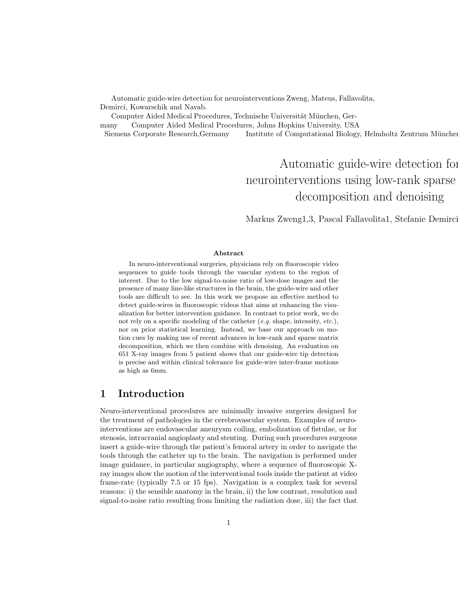Automatic guide-wire detection for neurointerventions Zweng, Mateus, Fallavolita, Demirci, Kowarschik and Navab.

Computer Aided Medical Procedures, Technische Universität München, Ger-

many Computer Aided Medical Procedures, Johns Hopkins University, USA

Siemens Corporate Research,Germany Institute of Computational Biology, Helmholtz Zentrum München,

# Automatic guide-wire detection for neurointerventions using low-rank sparse decomposition and denoising

Markus Zweng1,3, Pascal Fallavolita1, Stefanie Demirci

#### Abstract

In neuro-interventional surgeries, physicians rely on fluoroscopic video sequences to guide tools through the vascular system to the region of interest. Due to the low signal-to-noise ratio of low-dose images and the presence of many line-like structures in the brain, the guide-wire and other tools are difficult to see. In this work we propose an effective method to detect guide-wires in fluoroscopic videos that aims at enhancing the visualization for better intervention guidance. In contrast to prior work, we do not rely on a specific modeling of the catheter (e.g. shape, intensity, etc.), nor on prior statistical learning. Instead, we base our approach on motion cues by making use of recent advances in low-rank and sparse matrix decomposition, which we then combine with denoising. An evaluation on 651 X-ray images from 5 patient shows that our guide-wire tip detection is precise and within clinical tolerance for guide-wire inter-frame motions as high as 6mm.

## 1 Introduction

Neuro-interventional procedures are minimally invasive surgeries designed for the treatment of pathologies in the cerebrovascular system. Examples of neurointerventions are endovascular aneurysm coiling, embolization of fistulae, or for stenosis, intracranial angioplasty and stenting. During such procedures surgeons insert a guide-wire through the patient's femoral artery in order to navigate the tools through the catheter up to the brain. The navigation is performed under image guidance, in particular angiography, where a sequence of fluoroscopic Xray images show the motion of the interventional tools inside the patient at video frame-rate (typically 7.5 or 15 fps). Navigation is a complex task for several reasons: i) the sensible anatomy in the brain, ii) the low contrast, resolution and signal-to-noise ratio resulting from limiting the radiation dose, iii) the fact that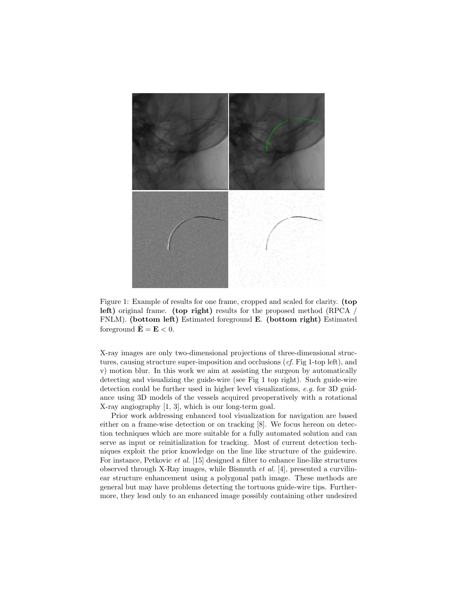

Figure 1: Example of results for one frame, cropped and scaled for clarity. (top left) original frame. (top right) results for the proposed method (RPCA / FNLM). (bottom left) Estimated foreground E. (bottom right) Estimated foreground  $\mathbf{\hat{E}} = \mathbf{E} < 0$ .

X-ray images are only two-dimensional projections of three-dimensional structures, causing structure super-imposition and occlusions (cf. Fig 1-top left), and v) motion blur. In this work we aim at assisting the surgeon by automatically detecting and visualizing the guide-wire (see Fig 1 top right). Such guide-wire detection could be further used in higher level visualizations, e.g. for 3D guidance using 3D models of the vessels acquired preoperatively with a rotational X-ray angiography [1, 3], which is our long-term goal.

Prior work addressing enhanced tool visualization for navigation are based either on a frame-wise detection or on tracking [8]. We focus hereon on detection techniques which are more suitable for a fully automated solution and can serve as input or reinitialization for tracking. Most of current detection techniques exploit the prior knowledge on the line like structure of the guidewire. For instance, Petkovic et al. [15] designed a filter to enhance line-like structures observed through X-Ray images, while Bismuth  $et \ al.$  [4], presented a curvilinear structure enhancement using a polygonal path image. These methods are general but may have problems detecting the tortuous guide-wire tips. Furthermore, they lead only to an enhanced image possibly containing other undesired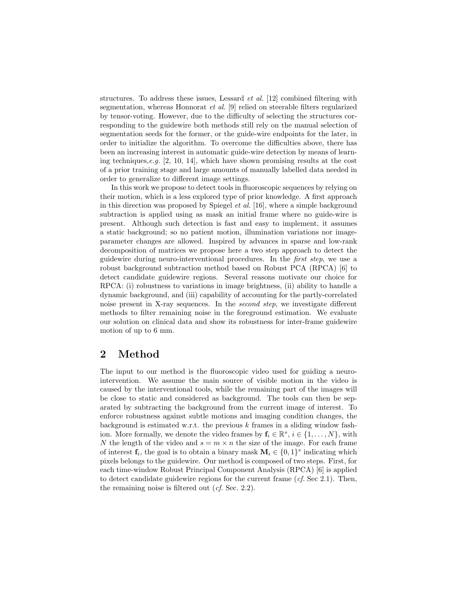structures. To address these issues, Lessard et al. [12] combined filtering with segmentation, whereas Honnorat et al. [9] relied on steerable filters regularized by tensor-voting. However, due to the difficulty of selecting the structures corresponding to the guidewire both methods still rely on the manual selection of segmentation seeds for the former, or the guide-wire endpoints for the later, in order to initialize the algorithm. To overcome the difficulties above, there has been an increasing interest in automatic guide-wire detection by means of learning techniques,  $e.g.$  [2, 10, 14], which have shown promising results at the cost of a prior training stage and large amounts of manually labelled data needed in order to generalize to different image settings.

In this work we propose to detect tools in fluoroscopic sequences by relying on their motion, which is a less explored type of prior knowledge. A first approach in this direction was proposed by Spiegel  $et \ al.$  [16], where a simple background subtraction is applied using as mask an initial frame where no guide-wire is present. Although such detection is fast and easy to implement, it assumes a static background; so no patient motion, illumination variations nor imageparameter changes are allowed. Inspired by advances in sparse and low-rank decomposition of matrices we propose here a two step approach to detect the guidewire during neuro-interventional procedures. In the first step, we use a robust background subtraction method based on Robust PCA (RPCA) [6] to detect candidate guidewire regions. Several reasons motivate our choice for RPCA: (i) robustness to variations in image brightness, (ii) ability to handle a dynamic background, and (iii) capability of accounting for the partly-correlated noise present in X-ray sequences. In the second step, we investigate different methods to filter remaining noise in the foreground estimation. We evaluate our solution on clinical data and show its robustness for inter-frame guidewire motion of up to 6 mm.

## 2 Method

The input to our method is the fluoroscopic video used for guiding a neurointervention. We assume the main source of visible motion in the video is caused by the interventional tools, while the remaining part of the images will be close to static and considered as background. The tools can then be separated by subtracting the background from the current image of interest. To enforce robustness against subtle motions and imaging condition changes, the background is estimated w.r.t. the previous  $k$  frames in a sliding window fashion. More formally, we denote the video frames by  $f_i \in \mathbb{R}^s, i \in \{1, ..., N\}$ , with N the length of the video and  $s = m \times n$  the size of the image. For each frame of interest  $f_i$ , the goal is to obtain a binary mask  $M_i \in \{0,1\}^s$  indicating which pixels belongs to the guidewire. Our method is composed of two steps. First, for each time-window Robust Principal Component Analysis (RPCA) [6] is applied to detect candidate guidewire regions for the current frame  $(cf.$  Sec 2.1). Then, the remaining noise is filtered out (cf. Sec. 2.2).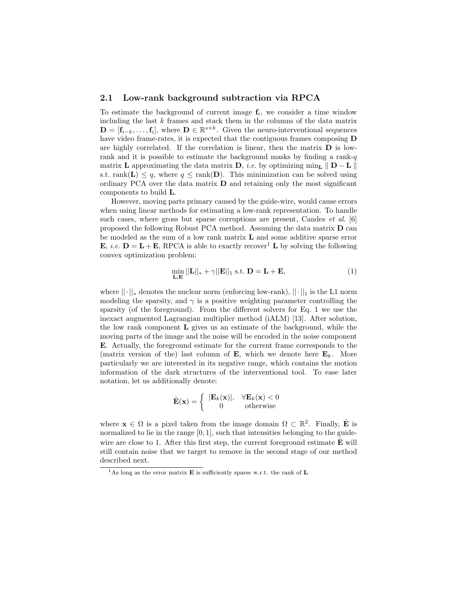#### 2.1 Low-rank background subtraction via RPCA

To estimate the background of current image  $f_i$ , we consider a time window including the last k frames and stack them in the columns of the data matrix  $\mathbf{D} = [\mathbf{f}_{i-k}, \dots, \mathbf{f}_i],$  where  $\mathbf{D} \in \mathbb{R}^{s \times k}$ . Given the neuro-interventional sequences have video frame-rates, it is expected that the contiguous frames composing **D** are highly correlated. If the correlation is linear, then the matrix  $\bf{D}$  is lowrank and it is possible to estimate the background masks by finding a rank- $q$ matrix **L** approximating the data matrix **D**, *i.e.* by optimizing min<sub>L</sub>  $\parallel$  **D** − **L**  $\parallel$ s.t. rank( $\mathbf{L}$ )  $\leq q$ , where  $q \leq \text{rank}(\mathbf{D})$ . This minimization can be solved using ordinary PCA over the data matrix  **and retaining only the most significant** components to build L.

However, moving parts primary caused by the guide-wire, would cause errors when using linear methods for estimating a low-rank representation. To handle such cases, where gross but sparse corruptions are present, Candes *et al.* [6] proposed the following Robust PCA method. Assuming the data matrix D can be modeled as the sum of a low rank matrix L and some additive sparse error **E**, *i.e.*  $D = L + E$ , RPCA is able to exactly recover<sup>1</sup> L by solving the following convex optimization problem:

$$
\min_{\mathbf{L}, \mathbf{E}} ||\mathbf{L}||_{*} + \gamma ||\mathbf{E}||_{1} \text{ s.t. } \mathbf{D} = \mathbf{L} + \mathbf{E},
$$
\n(1)

where  $\|\cdot\|_*$  denotes the nuclear norm (enforcing low-rank),  $\|\cdot\|_1$  is the L1 norm modeling the sparsity, and  $\gamma$  is a positive weighting parameter controlling the sparsity (of the foreground). From the different solvers for Eq. 1 we use the inexact augmented Lagrangian multiplier method (iALM) [13]. After solution, the low rank component L gives us an estimate of the background, while the moving parts of the image and the noise will be encoded in the noise component E. Actually, the foreground estimate for the current frame corresponds to the (matrix version of the) last column of  $\mathbf{E}$ , which we denote here  $\mathbf{E}_k$ . More particularly we are interested in its negative range, which contains the motion information of the dark structures of the interventional tool. To ease later notation, let us additionally denote:

$$
\hat{\mathbf{E}}(\mathbf{x}) = \begin{cases} |\mathbf{E}_k(\mathbf{x})|, & \forall \mathbf{E}_k(\mathbf{x}) < 0\\ 0 & \text{otherwise} \end{cases}
$$

where  $\mathbf{x} \in \Omega$  is a pixel taken from the image domain  $\Omega \subset \mathbb{R}^2$ . Finally,  $\hat{\mathbf{E}}$  is normalized to lie in the range  $[0, 1]$ , such that intensities belonging to the guidewire are close to 1. After this first step, the current foreground estimate  $\hat{E}$  will still contain noise that we target to remove in the second stage of our method described next.

<sup>&</sup>lt;sup>1</sup>As long as the error matrix **E** is sufficiently sparse w.r.t. the rank of **L**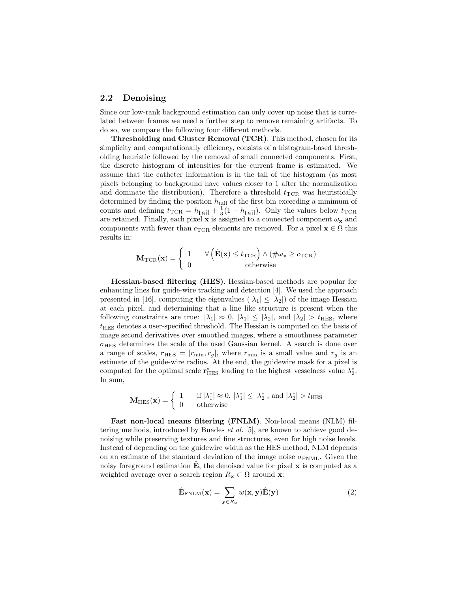#### 2.2 Denoising

Since our low-rank background estimation can only cover up noise that is correlated between frames we need a further step to remove remaining artifacts. To do so, we compare the following four different methods.

Thresholding and Cluster Removal (TCR). This method, chosen for its simplicity and computationally efficiency, consists of a histogram-based thresholding heuristic followed by the removal of small connected components. First, the discrete histogram of intensities for the current frame is estimated. We assume that the catheter information is in the tail of the histogram (as most pixels belonging to background have values closer to 1 after the normalization and dominate the distribution). Therefore a threshold  $t_{\text{TCR}}$  was heuristically determined by finding the position  $h_{\text{tail}}$  of the first bin exceeding a minimum of counts and defining  $t_{\text{TCR}} = h_{\text{tail}} + \frac{1}{3}(1 - h_{\text{tail}})$ . Only the values below  $t_{\text{TCR}}$ are retained. Finally, each pixel **x** is assigned to a connected component  $\omega_x$  and components with fewer than  $c_{\text{TCR}}$  elements are removed. For a pixel  $\mathbf{x} \in \Omega$  this results in:

$$
\mathbf{M}_{\text{TCR}}(\mathbf{x}) = \begin{cases} 1 & \forall \left(\hat{\mathbf{E}}(\mathbf{x}) \leq t_{\text{TCR}}\right) \wedge (\#\omega_{\mathbf{x}} \geq c_{\text{TCR}}) \\ 0 & \text{otherwise} \end{cases}
$$

Hessian-based filtering (HES). Hessian-based methods are popular for enhancing lines for guide-wire tracking and detection [4]. We used the approach presented in [16], computing the eigenvalues  $(|\lambda_1| \leq |\lambda_2|)$  of the image Hessian at each pixel, and determining that a line like structure is present when the following constraints are true:  $|\lambda_1| \approx 0$ ,  $|\lambda_1| \leq |\lambda_2|$ , and  $|\lambda_2| > t_{\text{HES}}$ , where  $t_{\text{HES}}$  denotes a user-specified threshold. The Hessian is computed on the basis of image second derivatives over smoothed images, where a smoothness parameter  $\sigma_{\text{HES}}$  determines the scale of the used Gaussian kernel. A search is done over a range of scales,  $\mathbf{r}_{\text{HES}} = [r_{\min}, r_g]$ , where  $r_{\min}$  is a small value and  $r_g$  is an estimate of the guide-wire radius. At the end, the guidewire mask for a pixel is computed for the optimal scale  $\mathbf{r}_{\text{HES}}^{*}$  leading to the highest vesselness value  $\lambda_{2}^{*}$ . In sum,

$$
\mathbf{M}_{\mathrm{HES}}(\mathbf{x}) = \begin{cases} 1 & \text{if } |\lambda_1^*| \approx 0, \ |\lambda_1^*| \le |\lambda_2^*|, \ \text{and } |\lambda_2^*| > t_{\mathrm{HES}} \\ 0 & \text{otherwise} \end{cases}
$$

Fast non-local means filtering (FNLM). Non-local means (NLM) filtering methods, introduced by Buades et al. [5], are known to achieve good denoising while preserving textures and fine structures, even for high noise levels. Instead of depending on the guidewire width as the HES method, NLM depends on an estimate of the standard deviation of the image noise  $\sigma_{\text{FNML}}$ . Given the noisy foreground estimation  $\hat{E}$ , the denoised value for pixel  $x$  is computed as a weighted average over a search region  $R_{\mathbf{x}} \subset \Omega$  around **x**:

$$
\hat{\mathbf{E}}_{\text{FNLM}}(\mathbf{x}) = \sum_{\mathbf{y} \in R_{\mathbf{x}}} w(\mathbf{x}, \mathbf{y}) \hat{\mathbf{E}}(\mathbf{y})
$$
(2)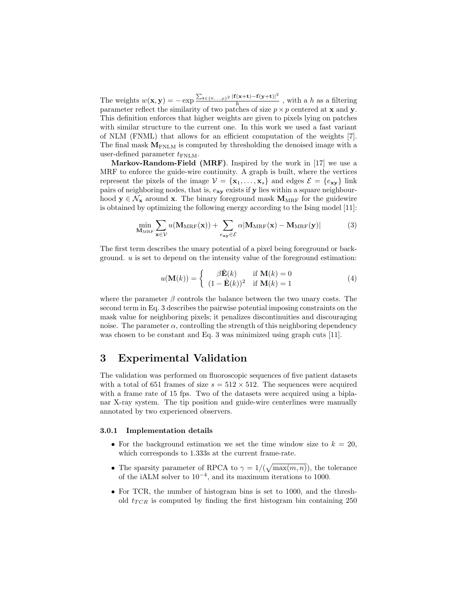The weights  $w(\mathbf{x}, \mathbf{y}) = -\exp \frac{\sum_{\mathbf{t} \in \{0, ..., p\}^2} |\mathbf{f}(\mathbf{x}+\mathbf{t})-\mathbf{f}(\mathbf{y}+\mathbf{t})|^2}{h}$  $\frac{(\mathbf{x} + \mathbf{v}) - \mathbf{r}(\mathbf{y} + \mathbf{v})}{h}$ , with a h as a filtering parameter reflect the similarity of two patches of size  $p \times p$  centered at **x** and **y**. This definition enforces that higher weights are given to pixels lying on patches with similar structure to the current one. In this work we used a fast variant of NLM (FNML) that allows for an efficient computation of the weights [7]. The final mask  $M_{\text{FNLM}}$  is computed by thresholding the denoised image with a user-defined parameter  $t_{\text{FNLM}}$ .

**Markov-Random-Field (MRF).** Inspired by the work in [17] we use a MRF to enforce the guide-wire continuity. A graph is built, where the vertices represent the pixels of the image  $V = {\mathbf{x}_1, ..., \mathbf{x}_s}$  and edges  $\mathcal{E} = \{e_{\mathbf{x}\mathbf{y}}\}$  link pairs of neighboring nodes, that is,  $e_{xy}$  exists if y lies within a square neighbourhood  $y \in \mathcal{N}_x$  around x. The binary foreground mask  $M_{MRF}$  for the guidewire is obtained by optimizing the following energy according to the Ising model [11]:

$$
\min_{\mathbf{M}_{\text{MRF}}} \sum_{\mathbf{x} \in \mathcal{V}} u(\mathbf{M}_{\text{MRF}}(\mathbf{x})) + \sum_{e_{\mathbf{xy}} \in \mathcal{E}} \alpha |\mathbf{M}_{\text{MRF}}(\mathbf{x}) - \mathbf{M}_{\text{MRF}}(\mathbf{y})| \tag{3}
$$

The first term describes the unary potential of a pixel being foreground or background.  $u$  is set to depend on the intensity value of the foreground estimation:

$$
u(\mathbf{M}(k)) = \begin{cases} \beta \hat{\mathbf{E}}(k) & \text{if } \mathbf{M}(k) = 0\\ (1 - \hat{\mathbf{E}}(k))^2 & \text{if } \mathbf{M}(k) = 1 \end{cases}
$$
(4)

where the parameter  $\beta$  controls the balance between the two unary costs. The second term in Eq. 3 describes the pairwise potential imposing constraints on the mask value for neighboring pixels; it penalizes discontinuities and discouraging noise. The parameter  $\alpha$ , controlling the strength of this neighboring dependency was chosen to be constant and Eq. 3 was minimized using graph cuts [11].

## 3 Experimental Validation

The validation was performed on fluoroscopic sequences of five patient datasets with a total of 651 frames of size  $s = 512 \times 512$ . The sequences were acquired with a frame rate of 15 fps. Two of the datasets were acquired using a biplanar X-ray system. The tip position and guide-wire centerlines were manually annotated by two experienced observers.

#### 3.0.1 Implementation details

- For the background estimation we set the time window size to  $k = 20$ , which corresponds to 1.333s at the current frame-rate.
- The sparsity parameter of RPCA to  $\gamma = 1/(\sqrt{\max(m, n)})$ , the tolerance of the iALM solver to  $10^{-4}$ , and its maximum iterations to 1000.
- For TCR, the number of histogram bins is set to 1000, and the threshold  $t_{TCR}$  is computed by finding the first histogram bin containing 250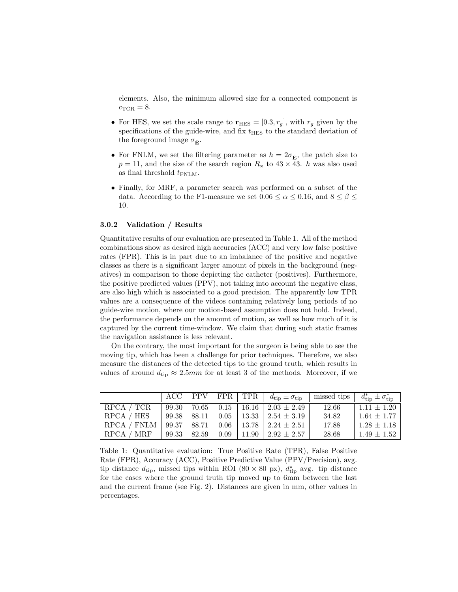elements. Also, the minimum allowed size for a connected component is  $c_{\text{TCR}} = 8.$ 

- For HES, we set the scale range to  $\mathbf{r}_{\text{HES}} = [0.3, r_g]$ , with  $r_g$  given by the specifications of the guide-wire, and fix  $t_{\text{HES}}$  to the standard deviation of the foreground image  $\sigma_{\hat{\mathbf{r}}}$ .
- For FNLM, we set the filtering parameter as  $h = 2\sigma_{\hat{\mathbf{F}}}$ , the patch size to  $p = 11$ , and the size of the search region  $R_x$  to  $43 \times 43$ . h was also used as final threshold  $t_{\text{FNLM}}$ .
- Finally, for MRF, a parameter search was performed on a subset of the data. According to the F1-measure we set  $0.06 \le \alpha \le 0.16$ , and  $8 \le \beta \le$ 10.

#### 3.0.2 Validation / Results

Quantitative results of our evaluation are presented in Table 1. All of the method combinations show as desired high accuracies (ACC) and very low false positive rates (FPR). This is in part due to an imbalance of the positive and negative classes as there is a significant larger amount of pixels in the background (negatives) in comparison to those depicting the catheter (positives). Furthermore, the positive predicted values (PPV), not taking into account the negative class, are also high which is associated to a good precision. The apparently low TPR values are a consequence of the videos containing relatively long periods of no guide-wire motion, where our motion-based assumption does not hold. Indeed, the performance depends on the amount of motion, as well as how much of it is captured by the current time-window. We claim that during such static frames the navigation assistance is less relevant.

On the contrary, the most important for the surgeon is being able to see the moving tip, which has been a challenge for prior techniques. Therefore, we also measure the distances of the detected tips to the ground truth, which results in values of around  $d_{\text{tip}} \approx 2.5 \text{mm}$  for at least 3 of the methods. Moreover, if we

|             |  |  |                                                            |       | $\overline{ACC \mid PPV \mid FPR \mid TPR \mid d_{tip} \pm \sigma_{tip}}$   missed tips   $d_{tip}^* \pm \sigma_{tip}^*$ |
|-------------|--|--|------------------------------------------------------------|-------|--------------------------------------------------------------------------------------------------------------------------|
| RPCA / TCR  |  |  | 99.30   70.65   0.15   16.16   2.03 $\pm$ 2.49             | 12.66 | 1.11 $\pm$ 1.20                                                                                                          |
| RPCA / HES  |  |  | $99.38$   88.11   0.05   13.33   2.54 $\pm$ 3.19           | 34.82 | $1.64 \pm 1.77$                                                                                                          |
| RPCA / FNLM |  |  | $99.37 \mid 88.71 \mid 0.06 \mid 13.78 \mid 2.24 \pm 2.51$ | 17.88 | $1.28 \pm 1.18$                                                                                                          |
| RPCA / MRF  |  |  | $99.33 \t82.59 \t0.09 \t11.90 \t2.92 \t\pm\t2.57$          | 28.68 | $1.49 \pm 1.52$                                                                                                          |

Table 1: Quantitative evaluation: True Positive Rate (TPR), False Positive Rate (FPR), Accuracy (ACC), Positive Predictive Value (PPV/Precision), avg. tip distance  $d_{\text{tip}}$ , missed tips within ROI (80 × 80 px),  $d_{\text{tip}}^*$  avg. tip distance for the cases where the ground truth tip moved up to 6mm between the last and the current frame (see Fig. 2). Distances are given in mm, other values in percentages.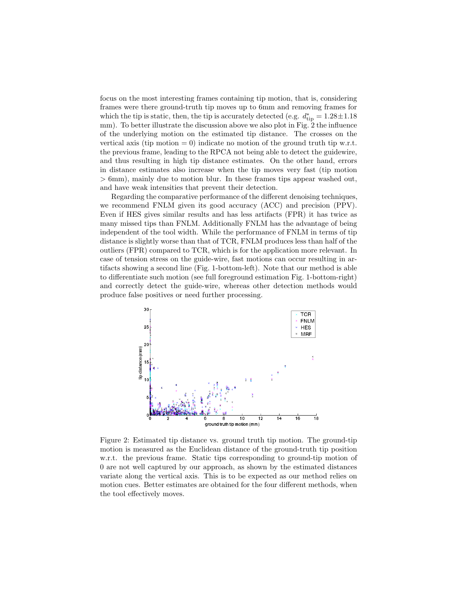focus on the most interesting frames containing tip motion, that is, considering frames were there ground-truth tip moves up to 6mm and removing frames for which the tip is static, then, the tip is accurately detected (e.g.  $d_{\text{tip}}^* = 1.28 \pm 1.18$ mm). To better illustrate the discussion above we also plot in Fig. 2 the influence of the underlying motion on the estimated tip distance. The crosses on the vertical axis (tip motion  $= 0$ ) indicate no motion of the ground truth tip w.r.t. the previous frame, leading to the RPCA not being able to detect the guidewire, and thus resulting in high tip distance estimates. On the other hand, errors in distance estimates also increase when the tip moves very fast (tip motion > 6mm), mainly due to motion blur. In these frames tips appear washed out, and have weak intensities that prevent their detection.

Regarding the comparative performance of the different denoising techniques, we recommend FNLM given its good accuracy (ACC) and precision (PPV). Even if HES gives similar results and has less artifacts (FPR) it has twice as many missed tips than FNLM. Additionally FNLM has the advantage of being independent of the tool width. While the performance of FNLM in terms of tip distance is slightly worse than that of TCR, FNLM produces less than half of the outliers (FPR) compared to TCR, which is for the application more relevant. In case of tension stress on the guide-wire, fast motions can occur resulting in artifacts showing a second line (Fig. 1-bottom-left). Note that our method is able to differentiate such motion (see full foreground estimation Fig. 1-bottom-right) and correctly detect the guide-wire, whereas other detection methods would produce false positives or need further processing.



Figure 2: Estimated tip distance vs. ground truth tip motion. The ground-tip motion is measured as the Euclidean distance of the ground-truth tip position w.r.t. the previous frame. Static tips corresponding to ground-tip motion of 0 are not well captured by our approach, as shown by the estimated distances variate along the vertical axis. This is to be expected as our method relies on motion cues. Better estimates are obtained for the four different methods, when the tool effectively moves.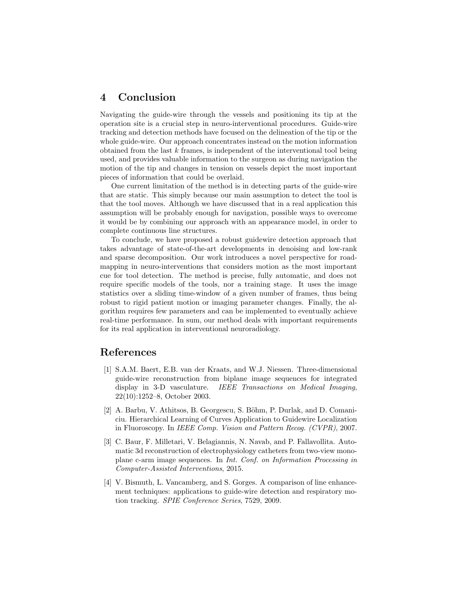# 4 Conclusion

Navigating the guide-wire through the vessels and positioning its tip at the operation site is a crucial step in neuro-interventional procedures. Guide-wire tracking and detection methods have focused on the delineation of the tip or the whole guide-wire. Our approach concentrates instead on the motion information obtained from the last  $k$  frames, is independent of the interventional tool being used, and provides valuable information to the surgeon as during navigation the motion of the tip and changes in tension on vessels depict the most important pieces of information that could be overlaid.

One current limitation of the method is in detecting parts of the guide-wire that are static. This simply because our main assumption to detect the tool is that the tool moves. Although we have discussed that in a real application this assumption will be probably enough for navigation, possible ways to overcome it would be by combining our approach with an appearance model, in order to complete continuous line structures.

To conclude, we have proposed a robust guidewire detection approach that takes advantage of state-of-the-art developments in denoising and low-rank and sparse decomposition. Our work introduces a novel perspective for roadmapping in neuro-interventions that considers motion as the most important cue for tool detection. The method is precise, fully automatic, and does not require specific models of the tools, nor a training stage. It uses the image statistics over a sliding time-window of a given number of frames, thus being robust to rigid patient motion or imaging parameter changes. Finally, the algorithm requires few parameters and can be implemented to eventually achieve real-time performance. In sum, our method deals with important requirements for its real application in interventional neuroradiology.

### References

- [1] S.A.M. Baert, E.B. van der Kraats, and W.J. Niessen. Three-dimensional guide-wire reconstruction from biplane image sequences for integrated display in 3-D vasculature. IEEE Transactions on Medical Imaging, 22(10):1252–8, October 2003.
- [2] A. Barbu, V. Athitsos, B. Georgescu, S. Böhm, P. Durlak, and D. Comaniciu. Hierarchical Learning of Curves Application to Guidewire Localization in Fluoroscopy. In IEEE Comp. Vision and Pattern Recog. (CVPR), 2007.
- [3] C. Baur, F. Milletari, V. Belagiannis, N. Navab, and P. Fallavollita. Automatic 3d reconstruction of electrophysiology catheters from two-view monoplane c-arm image sequences. In Int. Conf. on Information Processing in Computer-Assisted Interventions, 2015.
- [4] V. Bismuth, L. Vancamberg, and S. Gorges. A comparison of line enhancement techniques: applications to guide-wire detection and respiratory motion tracking. SPIE Conference Series, 7529, 2009.